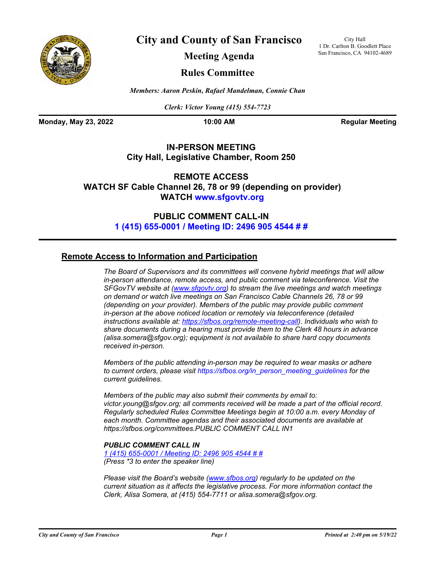

**City and County of San Francisco**

City Hall 1 Dr. Carlton B. Goodlett Place San Francisco, CA 94102-4689

**Meeting Agenda**

## **Rules Committee**

*Members: Aaron Peskin, Rafael Mandelman, Connie Chan*

*Clerk: Victor Young (415) 554-7723*

**Monday, May 23, 2022 10:00 AM Regular Meeting** 

## **IN-PERSON MEETING City Hall, Legislative Chamber, Room 250**

**REMOTE ACCESS WATCH SF Cable Channel [26, 78 or 99 \(depend](www.sfgovtv.org)ing on provider) WATCH www.sfgovtv.org**

> **[PUBLIC COMMENT CALL-IN](tel:+14156550001,,24969054544#,,#) 1 (415) 655-0001 / Meeting ID: 2496 905 4544 # #**

## **Remote Access to Information and Participation**

*The Board of Supervisors and its committees will convene hybrid meetings that will allow in-person attendance, remote access, and public comment via teleconference. Visit the SFGovTV website at [\(www.sfgovtv.org\)](www.sfgovtv.org) to stream the live meetings and watch meetings on demand or watch live meetings on San Francisco Cable Channels 26, 78 or 99 (depending on your provider). Members of the public may provide public comment in-person at the above noticed location or remotely via teleconference (detailed instructions available at: [https://sfbos.org/remote-meeting-call\)](https://sfbos.org/remote-meeting-call). Individuals who wish to share documents during a hearing must provide them to the Clerk 48 hours in advance (alisa.somera@sfgov.org); equipment is not available to share hard copy documents received in-person.*

*Members of the public attending in-person may be required to wear masks or adhere to current orders, please visit [https://sfbos.org/in\\_person\\_meeting\\_guidelines f](https://sfbos.org/in_person_meeting_guidelines)or the current guidelines.*

*Members of the public may also submit their comments by email to: victor.young@sfgov.org; all comments received will be made a part of the official record. Regularly scheduled Rules Committee Meetings begin at 10:00 a.m. every Monday of each month. Committee agendas and their associated documents are available at https://sfbos.org/committees.PUBLIC [COMMENT CALL IN1](https://sfbos.org/committees)*

### *PUBLIC COMMENT CALL IN*

*[1 \(415\) 655-0001 / Meeting ID: 2496 905 4544 # #](tel:+14156550001,,24969054544#,,#) (Press \*3 to enter the speaker line)*

*Please visit the Board's website (www.sfbos.org) regularly to be updated on the current situation as it affects the legislative process. For more information contact the Clerk, Alisa Somera, at (415) 554-7711 or alisa.somera@sfgov.org.*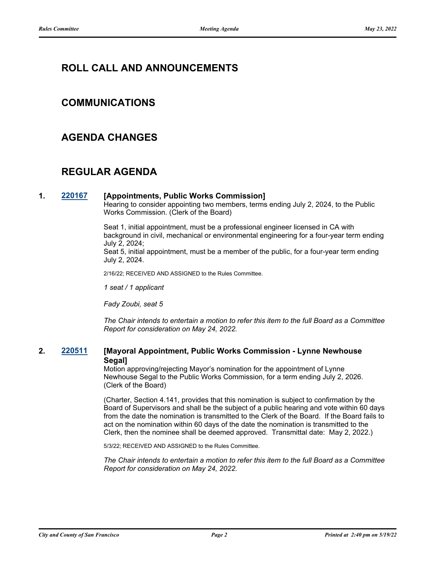# **ROLL CALL AND ANNOUNCEMENTS**

## **COMMUNICATIONS**

## **AGENDA CHANGES**

# **REGULAR AGENDA**

### **1. [220167](http://sfgov.legistar.com/gateway.aspx?m=l&id=38362) [Appointments, Public Works Commission]**

Hearing to consider appointing two members, terms ending July 2, 2024, to the Public Works Commission. (Clerk of the Board)

Seat 1, initial appointment, must be a professional engineer licensed in CA with background in civil, mechanical or environmental engineering for a four-year term ending July 2, 2024;

Seat 5, initial appointment, must be a member of the public, for a four-year term ending July 2, 2024.

2/16/22; RECEIVED AND ASSIGNED to the Rules Committee.

*1 seat / 1 applicant* 

*Fady Zoubi, seat 5*

*The Chair intends to entertain a motion to refer this item to the full Board as a Committee Report for consideration on May 24, 2022.*

### **2. [220511](http://sfgov.legistar.com/gateway.aspx?m=l&id=38703) [Mayoral Appointment, Public Works Commission - Lynne Newhouse Segal]**

Motion approving/rejecting Mayor's nomination for the appointment of Lynne Newhouse Segal to the Public Works Commission, for a term ending July 2, 2026. (Clerk of the Board)

(Charter, Section 4.141, provides that this nomination is subject to confirmation by the Board of Supervisors and shall be the subject of a public hearing and vote within 60 days from the date the nomination is transmitted to the Clerk of the Board. If the Board fails to act on the nomination within 60 days of the date the nomination is transmitted to the Clerk, then the nominee shall be deemed approved. Transmittal date: May 2, 2022.)

5/3/22; RECEIVED AND ASSIGNED to the Rules Committee.

*The Chair intends to entertain a motion to refer this item to the full Board as a Committee Report for consideration on May 24, 2022.*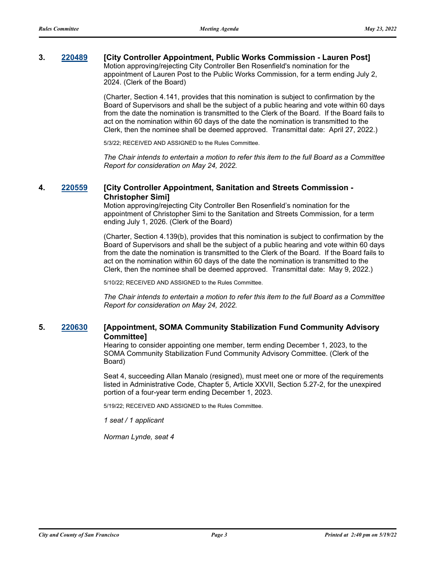## **3. [220489](http://sfgov.legistar.com/gateway.aspx?m=l&id=38681) [City Controller Appointment, Public Works Commission - Lauren Post]** Motion approving/rejecting City Controller Ben Rosenfield's nomination for the

appointment of Lauren Post to the Public Works Commission, for a term ending July 2, 2024. (Clerk of the Board)

(Charter, Section 4.141, provides that this nomination is subject to confirmation by the Board of Supervisors and shall be the subject of a public hearing and vote within 60 days from the date the nomination is transmitted to the Clerk of the Board. If the Board fails to act on the nomination within 60 days of the date the nomination is transmitted to the Clerk, then the nominee shall be deemed approved. Transmittal date: April 27, 2022.)

5/3/22; RECEIVED AND ASSIGNED to the Rules Committee.

*The Chair intends to entertain a motion to refer this item to the full Board as a Committee Report for consideration on May 24, 2022.*

### **4. [220559](http://sfgov.legistar.com/gateway.aspx?m=l&id=38751) [City Controller Appointment, Sanitation and Streets Commission - Christopher Simi]**

Motion approving/rejecting City Controller Ben Rosenfield's nomination for the appointment of Christopher Simi to the Sanitation and Streets Commission, for a term ending July 1, 2026. (Clerk of the Board)

(Charter, Section 4.139(b), provides that this nomination is subject to confirmation by the Board of Supervisors and shall be the subject of a public hearing and vote within 60 days from the date the nomination is transmitted to the Clerk of the Board. If the Board fails to act on the nomination within 60 days of the date the nomination is transmitted to the Clerk, then the nominee shall be deemed approved. Transmittal date: May 9, 2022.)

5/10/22; RECEIVED AND ASSIGNED to the Rules Committee.

*The Chair intends to entertain a motion to refer this item to the full Board as a Committee Report for consideration on May 24, 2022.*

### **5. [220630](http://sfgov.legistar.com/gateway.aspx?m=l&id=38822) [Appointment, SOMA Community Stabilization Fund Community Advisory Committee]**

Hearing to consider appointing one member, term ending December 1, 2023, to the SOMA Community Stabilization Fund Community Advisory Committee. (Clerk of the Board)

Seat 4, succeeding Allan Manalo (resigned), must meet one or more of the requirements listed in Administrative Code, Chapter 5, Article XXVII, Section 5.27-2, for the unexpired portion of a four-year term ending December 1, 2023.

5/19/22; RECEIVED AND ASSIGNED to the Rules Committee.

*1 seat / 1 applicant*

*Norman Lynde, seat 4*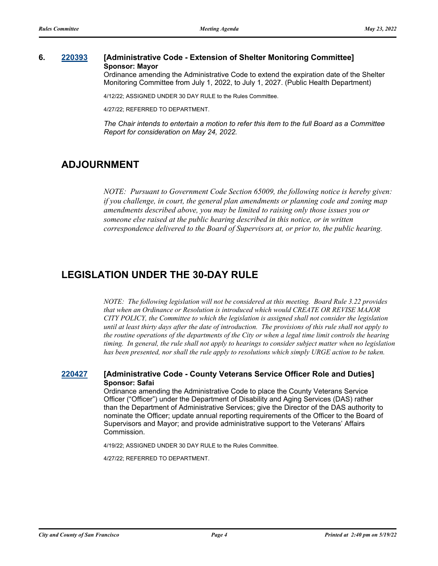### **6. [220393](http://sfgov.legistar.com/gateway.aspx?m=l&id=38585) [Administrative Code - Extension of Shelter Monitoring Committee] Sponsor: Mayor**

Ordinance amending the Administrative Code to extend the expiration date of the Shelter Monitoring Committee from July 1, 2022, to July 1, 2027. (Public Health Department)

4/12/22; ASSIGNED UNDER 30 DAY RULE to the Rules Committee.

4/27/22; REFERRED TO DEPARTMENT.

*The Chair intends to entertain a motion to refer this item to the full Board as a Committee Report for consideration on May 24, 2022.*

# **ADJOURNMENT**

*NOTE: Pursuant to Government Code Section 65009, the following notice is hereby given: if you challenge, in court, the general plan amendments or planning code and zoning map amendments described above, you may be limited to raising only those issues you or someone else raised at the public hearing described in this notice, or in written correspondence delivered to the Board of Supervisors at, or prior to, the public hearing.*

# **LEGISLATION UNDER THE 30-DAY RULE**

*NOTE: The following legislation will not be considered at this meeting. Board Rule 3.22 provides that when an Ordinance or Resolution is introduced which would CREATE OR REVISE MAJOR CITY POLICY, the Committee to which the legislation is assigned shall not consider the legislation until at least thirty days after the date of introduction. The provisions of this rule shall not apply to the routine operations of the departments of the City or when a legal time limit controls the hearing timing. In general, the rule shall not apply to hearings to consider subject matter when no legislation has been presented, nor shall the rule apply to resolutions which simply URGE action to be taken.*

### **[220427](http://sfgov.legistar.com/gateway.aspx?m=l&id=38619) [Administrative Code - County Veterans Service Officer Role and Duties] Sponsor: Safai**

Ordinance amending the Administrative Code to place the County Veterans Service Officer ("Officer") under the Department of Disability and Aging Services (DAS) rather than the Department of Administrative Services; give the Director of the DAS authority to nominate the Officer; update annual reporting requirements of the Officer to the Board of Supervisors and Mayor; and provide administrative support to the Veterans' Affairs Commission.

4/19/22; ASSIGNED UNDER 30 DAY RULE to the Rules Committee.

4/27/22; REFERRED TO DEPARTMENT.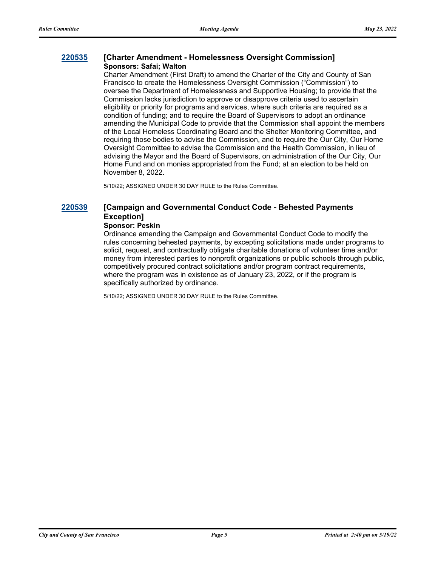### **[220535](http://sfgov.legistar.com/gateway.aspx?m=l&id=38727) [Charter Amendment - Homelessness Oversight Commission] Sponsors: Safai; Walton**

Charter Amendment (First Draft) to amend the Charter of the City and County of San Francisco to create the Homelessness Oversight Commission ("Commission") to oversee the Department of Homelessness and Supportive Housing; to provide that the Commission lacks jurisdiction to approve or disapprove criteria used to ascertain eligibility or priority for programs and services, where such criteria are required as a condition of funding; and to require the Board of Supervisors to adopt an ordinance amending the Municipal Code to provide that the Commission shall appoint the members of the Local Homeless Coordinating Board and the Shelter Monitoring Committee, and requiring those bodies to advise the Commission, and to require the Our City, Our Home Oversight Committee to advise the Commission and the Health Commission, in lieu of advising the Mayor and the Board of Supervisors, on administration of the Our City, Our Home Fund and on monies appropriated from the Fund; at an election to be held on November 8, 2022.

5/10/22; ASSIGNED UNDER 30 DAY RULE to the Rules Committee.

## **[220539](http://sfgov.legistar.com/gateway.aspx?m=l&id=38731) [Campaign and Governmental Conduct Code - Behested Payments Exception]**

#### **Sponsor: Peskin**

Ordinance amending the Campaign and Governmental Conduct Code to modify the rules concerning behested payments, by excepting solicitations made under programs to solicit, request, and contractually obligate charitable donations of volunteer time and/or money from interested parties to nonprofit organizations or public schools through public, competitively procured contract solicitations and/or program contract requirements, where the program was in existence as of January 23, 2022, or if the program is specifically authorized by ordinance.

5/10/22; ASSIGNED UNDER 30 DAY RULE to the Rules Committee.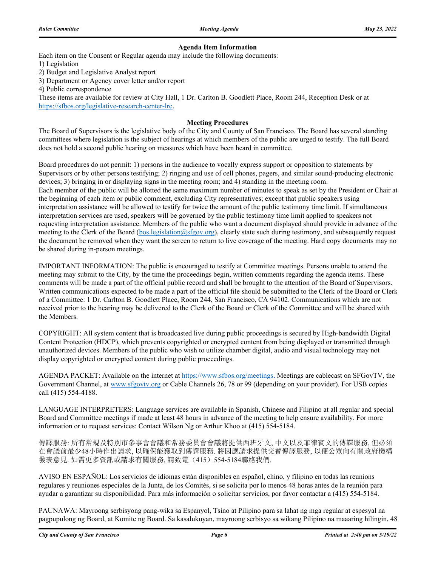#### **Agenda Item Information**

Each item on the Consent or Regular agenda may include the following documents:

1) Legislation

2) Budget and Legislative Analyst report

3) Department or Agency cover letter and/or report

4) Public correspondence

These items are available for review at City Hall, 1 Dr. Carlton B. Goodlett Place, Room 244, Reception Desk or at https://sfbos.org/legislative-research-center-lrc.

#### **Meeting Procedures**

The Board of Supervisors is the legislative body of the City and County of San Francisco. The Board has several standing committees where legislation is the subject of hearings at which members of the public are urged to testify. The full Board does not hold a second public hearing on measures which have been heard in committee.

Board procedures do not permit: 1) persons in the audience to vocally express support or opposition to statements by Supervisors or by other persons testifying; 2) ringing and use of cell phones, pagers, and similar sound-producing electronic devices; 3) bringing in or displaying signs in the meeting room; and 4) standing in the meeting room. Each member of the public will be allotted the same maximum number of minutes to speak as set by the President or Chair at the beginning of each item or public comment, excluding City representatives; except that public speakers using interpretation assistance will be allowed to testify for twice the amount of the public testimony time limit. If simultaneous interpretation services are used, speakers will be governed by the public testimony time limit applied to speakers not requesting interpretation assistance. Members of the public who want a document displayed should provide in advance of the meeting to the Clerk of the Board (bos.legislation@sfgov.org), clearly state such during testimony, and subsequently request the document be removed when they want the screen to return to live coverage of the meeting. Hard copy documents may no be shared during in-person meetings.

IMPORTANT INFORMATION: The public is encouraged to testify at Committee meetings. Persons unable to attend the meeting may submit to the City, by the time the proceedings begin, written comments regarding the agenda items. These comments will be made a part of the official public record and shall be brought to the attention of the Board of Supervisors. Written communications expected to be made a part of the official file should be submitted to the Clerk of the Board or Clerk of a Committee: 1 Dr. Carlton B. Goodlett Place, Room 244, San Francisco, CA 94102. Communications which are not received prior to the hearing may be delivered to the Clerk of the Board or Clerk of the Committee and will be shared with the Members.

COPYRIGHT: All system content that is broadcasted live during public proceedings is secured by High-bandwidth Digital Content Protection (HDCP), which prevents copyrighted or encrypted content from being displayed or transmitted through unauthorized devices. Members of the public who wish to utilize chamber digital, audio and visual technology may not display copyrighted or encrypted content during public proceedings.

AGENDA PACKET: Available on the internet at https://www.sfbos.org/meetings. Meetings are cablecast on SFGovTV, the Government Channel, at www.sfgovtv.org or Cable Channels 26, 78 or 99 (depending on your provider). For USB copies call (415) 554-4188.

LANGUAGE INTERPRETERS: Language services are available in Spanish, Chinese and Filipino at all regular and special Board and Committee meetings if made at least 48 hours in advance of the meeting to help ensure availability. For more information or to request services: Contact Wilson Ng or Arthur Khoo at (415) 554-5184.

傳譯服務: 所有常規及特別市參事會會議和常務委員會會議將提供西班牙文, 中文以及菲律賓文的傳譯服務, 但必須 在會議前最少48小時作出請求, 以確保能獲取到傳譯服務. 將因應請求提供交替傳譯服務, 以便公眾向有關政府機構 發表意見. 如需更多資訊或請求有關服務, 請致電(415) 554-5184聯絡我們.

AVISO EN ESPAÑOL: Los servicios de idiomas están disponibles en español, chino, y filipino en todas las reunions regulares y reuniones especiales de la Junta, de los Comités, si se solicita por lo menos 48 horas antes de la reunión para ayudar a garantizar su disponibilidad. Para más información o solicitar servicios, por favor contactar a (415) 554-5184.

PAUNAWA: Mayroong serbisyong pang-wika sa Espanyol, Tsino at Pilipino para sa lahat ng mga regular at espesyal na pagpupulong ng Board, at Komite ng Board. Sa kasalukuyan, mayroong serbisyo sa wikang Pilipino na maaaring hilingin, 48